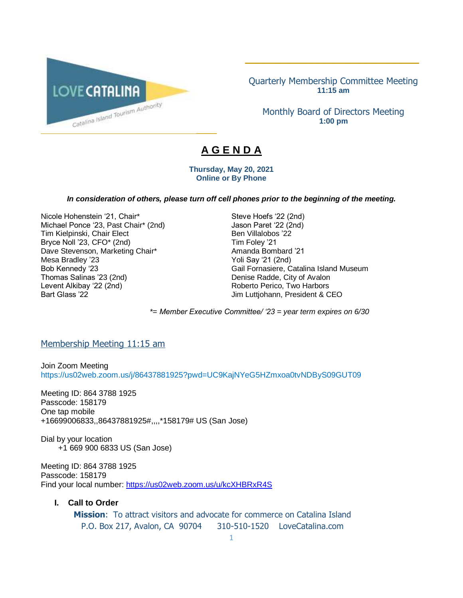

Quarterly Membership Committee Meeting **11:15 am**

\_\_\_\_\_\_\_\_\_\_\_\_\_\_\_\_\_\_\_\_\_\_\_\_\_\_\_\_\_\_\_\_\_\_\_\_\_\_\_\_\_\_

Monthly Board of Directors Meeting **1:00 pm**

# **A G E N D A**

**Thursday, May 20, 2021 Online or By Phone**

#### *In consideration of others, please turn off cell phones prior to the beginning of the meeting.*

Nicole Hohenstein '21, Chair\* Steve Hoefs '22 (2nd)<br>Michael Ponce '23, Past Chair\* (2nd) Jason Paret '22 (2nd) Michael Ponce '23, Past Chair\* (2nd) Tim Kielpinski, Chair Elect Ben Villalobos '22 Bryce Noll '23, CFO\* (2nd) Tim Foley '21 Dave Stevenson, Marketing Chair\* The Chair Amanda Bombard '21 Mesa Bradley '23 Yoli Say '21 (2nd) Thomas Salinas '23 (2nd) Denise Radde, City of Avalon Levent Alkibay '22 (2nd) <br>
Bart Glass '22 (2nd) 
Roberto Perico, Two Harbors<br>
Jim Luttiohann. President & C

Bob Kennedy '23 Gail Fornasiere, Catalina Island Museum Jim Luttjohann, President & CEO

*\*= Member Executive Committee/ '23 = year term expires on 6/30* 

#### Membership Meeting 11:15 am

Join Zoom Meeting https://us02web.zoom.us/j/86437881925?pwd=UC9KajNYeG5HZmxoa0tvNDByS09GUT09

Meeting ID: 864 3788 1925 Passcode: 158179 One tap mobile +16699006833,,86437881925#,,,,\*158179# US (San Jose)

Dial by your location +1 669 900 6833 US (San Jose)

Meeting ID: 864 3788 1925 Passcode: 158179 Find your local number:<https://us02web.zoom.us/u/kcXHBRxR4S>

#### **I. Call to Order**

**Mission**: To attract visitors and advocate for commerce on Catalina Island P.O. Box 217, Avalon, CA 90704 310-510-1520 LoveCatalina.com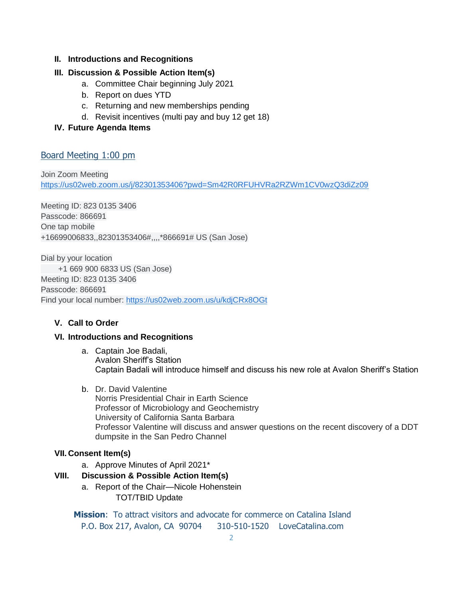#### **II. Introductions and Recognitions**

# **III. Discussion & Possible Action Item(s)**

- a. Committee Chair beginning July 2021
- b. Report on dues YTD
- c. Returning and new memberships pending
- d. Revisit incentives (multi pay and buy 12 get 18)
- **IV. Future Agenda Items**

# Board Meeting 1:00 pm

Join Zoom Meeting [https://us02web.zoom.us/j/82301353406?pwd=Sm42R0RFUHVRa2RZWm1CV0wzQ3diZz09](https://www.google.com/url?q=https://us02web.zoom.us/j/82301353406?pwd%3DSm42R0RFUHVRa2RZWm1CV0wzQ3diZz09&sa=D&source=calendar&ust=1615520592838000&usg=AOvVaw2YOhWUTEJgTHZ7_ay-dgZd)

Meeting ID: 823 0135 3406 Passcode: 866691 One tap mobile +16699006833,,82301353406#,,,,\*866691# US (San Jose)

Dial by your location +1 669 900 6833 US (San Jose) Meeting ID: 823 0135 3406 Passcode: 866691 Find your local number: [https://us02web.zoom.us/u/kdjCRx8OGt](https://www.google.com/url?q=https://us02web.zoom.us/u/kdjCRx8OGt&sa=D&source=calendar&ust=1615520592838000&usg=AOvVaw2gwBpPGmW2ln1ZL1spFK5e)

# **V. Call to Order**

#### **VI. Introductions and Recognitions**

- a. Captain Joe Badali, Avalon Sheriff's Station Captain Badali will introduce himself and discuss his new role at Avalon Sheriff's Station
- b. Dr. David Valentine Norris Presidential Chair in Earth Science Professor of Microbiology and Geochemistry University of California Santa Barbara Professor Valentine will discuss and answer questions on the recent discovery of a DDT dumpsite in the San Pedro Channel

#### **VII. Consent Item(s)**

a. Approve Minutes of April 2021\*

# **VIII. Discussion & Possible Action Item(s)**

a. Report of the Chair—Nicole Hohenstein TOT/TBID Update

**Mission**: To attract visitors and advocate for commerce on Catalina Island P.O. Box 217, Avalon, CA 90704 310-510-1520 LoveCatalina.com